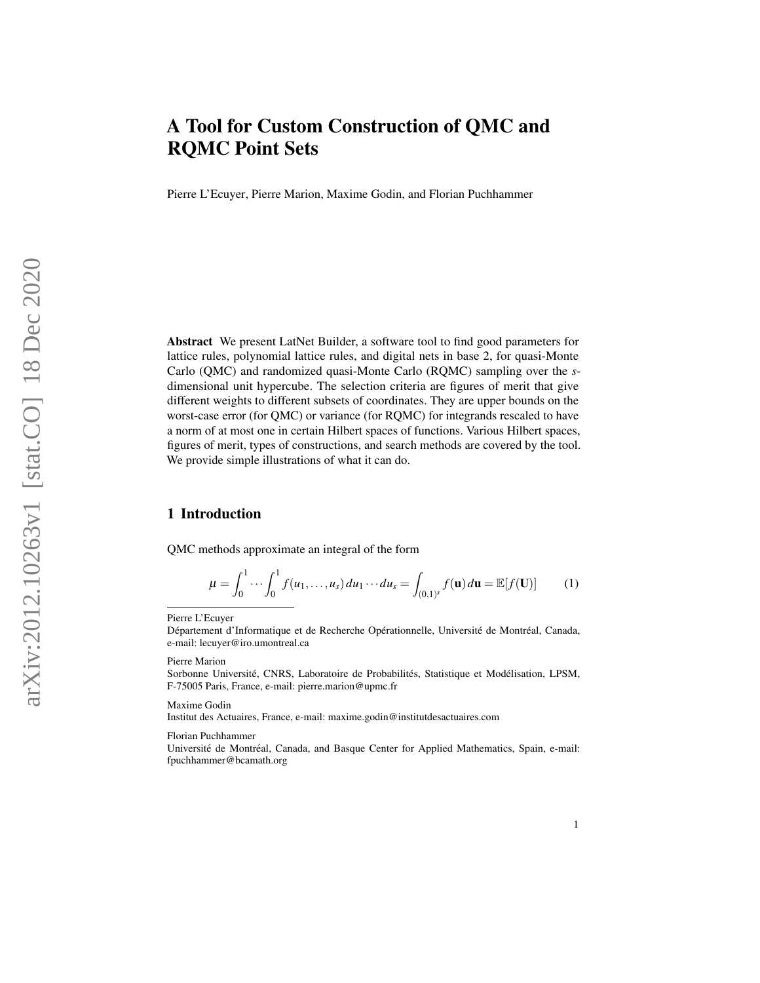Pierre L'Ecuyer, Pierre Marion, Maxime Godin, and Florian Puchhammer

Abstract We present LatNet Builder, a software tool to find good parameters for lattice rules, polynomial lattice rules, and digital nets in base 2, for quasi-Monte Carlo (QMC) and randomized quasi-Monte Carlo (RQMC) sampling over the *s*dimensional unit hypercube. The selection criteria are figures of merit that give different weights to different subsets of coordinates. They are upper bounds on the worst-case error (for QMC) or variance (for RQMC) for integrands rescaled to have a norm of at most one in certain Hilbert spaces of functions. Various Hilbert spaces, figures of merit, types of constructions, and search methods are covered by the tool. We provide simple illustrations of what it can do.

# 1 Introduction

QMC methods approximate an integral of the form

$$
\mu = \int_0^1 \cdots \int_0^1 f(u_1, \ldots, u_s) du_1 \cdots du_s = \int_{(0,1)^s} f(\mathbf{u}) d\mathbf{u} = \mathbb{E}[f(\mathbf{U})] \tag{1}
$$

Pierre L'Ecuyer

Département d'Informatique et de Recherche Opérationnelle, Université de Montréal, Canada, e-mail: <lecuyer@iro.umontreal.ca>

Pierre Marion

Sorbonne Université, CNRS, Laboratoire de Probabilités, Statistique et Modélisation, LPSM, F-75005 Paris, France, e-mail: <pierre.marion@upmc.fr>

Maxime Godin

Institut des Actuaires, France, e-mail: <maxime.godin@institutdesactuaires.com>

Florian Puchhammer

Université de Montréal, Canada, and Basque Center for Applied Mathematics, Spain, e-mail: <fpuchhammer@bcamath.org>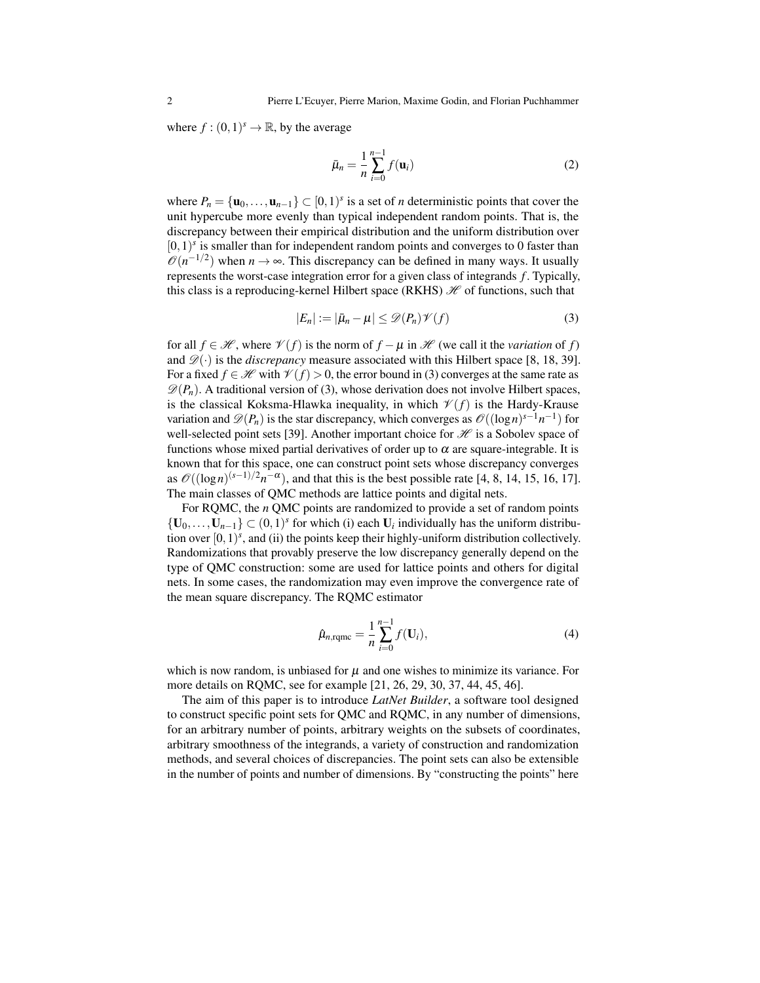where  $f: (0,1)^s \to \mathbb{R}$ , by the average

$$
\bar{\mu}_n = \frac{1}{n} \sum_{i=0}^{n-1} f(\mathbf{u}_i)
$$
\n(2)

where  $P_n = {\mathbf{u}_0, \dots, \mathbf{u}_{n-1}} \subset [0,1)^s$  is a set of *n* deterministic points that cover the unit hypercube more evenly than typical independent random points. That is, the discrepancy between their empirical distribution and the uniform distribution over  $[0,1)$ <sup>s</sup> is smaller than for independent random points and converges to 0 faster than  $\mathcal{O}(n^{-1/2})$  when  $n \to \infty$ . This discrepancy can be defined in many ways. It usually represents the worst-case integration error for a given class of integrands *f* . Typically, this class is a reproducing-kernel Hilbert space (RKHS)  $\mathcal H$  of functions, such that

<span id="page-1-0"></span>
$$
|E_n| := |\bar{\mu}_n - \mu| \le \mathcal{D}(P_n)\mathcal{V}(f) \tag{3}
$$

for all  $f \in \mathcal{H}$ , where  $\mathcal{V}(f)$  is the norm of  $f - \mu$  in  $\mathcal{H}$  (we call it the *variation* of f) and  $\mathscr{D}(\cdot)$  is the *discrepancy* measure associated with this Hilbert space [\[8,](#page-14-0) [18,](#page-14-1) [39\]](#page-15-0). For a fixed  $f \in \mathcal{H}$  with  $\mathcal{V}(f) > 0$ , the error bound in [\(3\)](#page-1-0) converges at the same rate as  $\mathscr{D}(P_n)$ . A traditional version of [\(3\)](#page-1-0), whose derivation does not involve Hilbert spaces, is the classical Koksma-Hlawka inequality, in which  $\mathcal{V}(f)$  is the Hardy-Krause variation and  $\mathscr{D}(P_n)$  is the star discrepancy, which converges as  $\mathscr{O}((\log n)^{s-1}n^{-1})$  for well-selected point sets [\[39\]](#page-15-0). Another important choice for  $\mathcal H$  is a Sobolev space of functions whose mixed partial derivatives of order up to  $\alpha$  are square-integrable. It is known that for this space, one can construct point sets whose discrepancy converges as  $\mathcal{O}((\log n)^{(s-1)/2}n^{-\alpha})$ , and that this is the best possible rate [\[4,](#page-13-0) [8,](#page-14-0) [14,](#page-14-2) [15,](#page-14-3) [16,](#page-14-4) [17\]](#page-14-5). The main classes of QMC methods are lattice points and digital nets.

For RQMC, the *n* QMC points are randomized to provide a set of random points {**U**<sub>0</sub>, ..., **U**<sub>*n*−1</sub>} ⊂ (0,1)<sup>*s*</sup> for which (i) each **U**<sub>*i*</sub> individually has the uniform distribution over  $[0, 1)^s$ , and (ii) the points keep their highly-uniform distribution collectively. Randomizations that provably preserve the low discrepancy generally depend on the type of QMC construction: some are used for lattice points and others for digital nets. In some cases, the randomization may even improve the convergence rate of the mean square discrepancy. The RQMC estimator

$$
\hat{\mu}_{n,\text{rqmc}} = \frac{1}{n} \sum_{i=0}^{n-1} f(\mathbf{U}_i), \tag{4}
$$

which is now random, is unbiased for  $\mu$  and one wishes to minimize its variance. For more details on RQMC, see for example [\[21,](#page-14-6) [26,](#page-14-7) [29,](#page-14-8) [30,](#page-15-1) [37,](#page-15-2) [44,](#page-15-3) [45,](#page-15-4) [46\]](#page-15-5).

The aim of this paper is to introduce *LatNet Builder*, a software tool designed to construct specific point sets for QMC and RQMC, in any number of dimensions, for an arbitrary number of points, arbitrary weights on the subsets of coordinates, arbitrary smoothness of the integrands, a variety of construction and randomization methods, and several choices of discrepancies. The point sets can also be extensible in the number of points and number of dimensions. By "constructing the points" here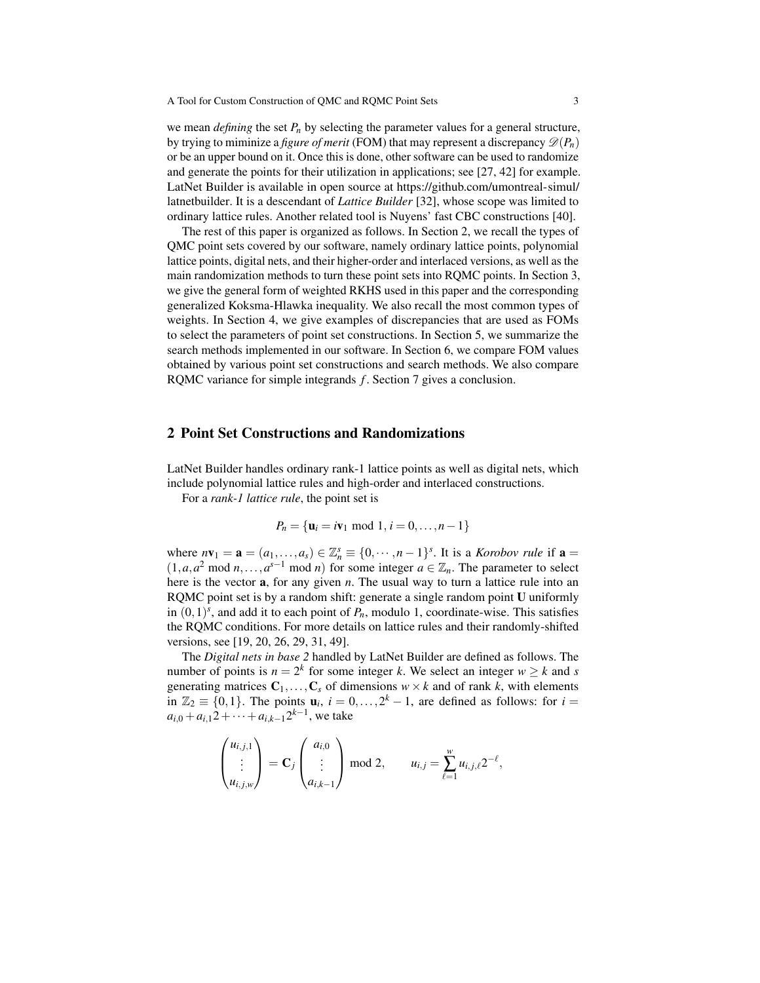we mean *defining* the set  $P_n$  by selecting the parameter values for a general structure, by trying to miminize a *figure of merit* (FOM) that may represent a discrepancy  $\mathscr{D}(P_n)$ or be an upper bound on it. Once this is done, other software can be used to randomize and generate the points for their utilization in applications; see [\[27,](#page-14-9) [42\]](#page-15-6) for example. LatNet Builder is available in open source at [https://github.com/umontreal-simul/](https://github.com/umontreal-simul/latnetbuilder) [latnetbuilder.](https://github.com/umontreal-simul/latnetbuilder) It is a descendant of *Lattice Builder* [\[32\]](#page-15-7), whose scope was limited to ordinary lattice rules. Another related tool is Nuyens' fast CBC constructions [\[40\]](#page-15-8).

The rest of this paper is organized as follows. In Section [2,](#page-2-0) we recall the types of QMC point sets covered by our software, namely ordinary lattice points, polynomial lattice points, digital nets, and their higher-order and interlaced versions, as well as the main randomization methods to turn these point sets into RQMC points. In Section [3,](#page-4-0) we give the general form of weighted RKHS used in this paper and the corresponding generalized Koksma-Hlawka inequality. We also recall the most common types of weights. In Section [4,](#page-5-0) we give examples of discrepancies that are used as FOMs to select the parameters of point set constructions. In Section [5,](#page-8-0) we summarize the search methods implemented in our software. In Section [6,](#page-9-0) we compare FOM values obtained by various point set constructions and search methods. We also compare RQMC variance for simple integrands *f* . Section [7](#page-13-1) gives a conclusion.

### <span id="page-2-0"></span>2 Point Set Constructions and Randomizations

LatNet Builder handles ordinary rank-1 lattice points as well as digital nets, which include polynomial lattice rules and high-order and interlaced constructions.

For a *rank-1 lattice rule*, the point set is

$$
P_n = \{ \mathbf{u}_i = i\mathbf{v}_1 \bmod 1, i = 0, \dots, n-1 \}
$$

where  $n\mathbf{v}_1 = \mathbf{a} = (a_1, \ldots, a_s) \in \mathbb{Z}_n^s \equiv \{0, \cdots, n-1\}^s$ . It is a *Korobov rule* if  $\mathbf{a} =$  $(1, a, a^2 \mod n, \ldots, a^{s-1} \mod n)$  for some integer  $a \in \mathbb{Z}_n$ . The parameter to select here is the vector a, for any given *n*. The usual way to turn a lattice rule into an RQMC point set is by a random shift: generate a single random point U uniformly in  $(0,1)^s$ , and add it to each point of  $P_n$ , modulo 1, coordinate-wise. This satisfies the RQMC conditions. For more details on lattice rules and their randomly-shifted versions, see [\[19,](#page-14-10) [20,](#page-14-11) [26,](#page-14-7) [29,](#page-14-8) [31,](#page-15-9) [49\]](#page-15-10).

The *Digital nets in base 2* handled by LatNet Builder are defined as follows. The number of points is  $n = 2^k$  for some integer *k*. We select an integer  $w \ge k$  and *s* generating matrices  $C_1, \ldots, C_s$  of dimensions  $w \times k$  and of rank k, with elements in  $\mathbb{Z}_2 \equiv \{0,1\}$ . The points  $\mathbf{u}_i$ ,  $i = 0, \ldots, 2^k - 1$ , are defined as follows: for  $i =$  $a_{i,0} + a_{i,1}2 + \cdots + a_{i,k-1}2^{k-1}$ , we take

$$
\begin{pmatrix} u_{i,j,1} \\ \vdots \\ u_{i,j,w} \end{pmatrix} = \mathbf{C}_j \begin{pmatrix} a_{i,0} \\ \vdots \\ a_{i,k-1} \end{pmatrix} \bmod 2, \qquad u_{i,j} = \sum_{\ell=1}^w u_{i,j,\ell} 2^{-\ell},
$$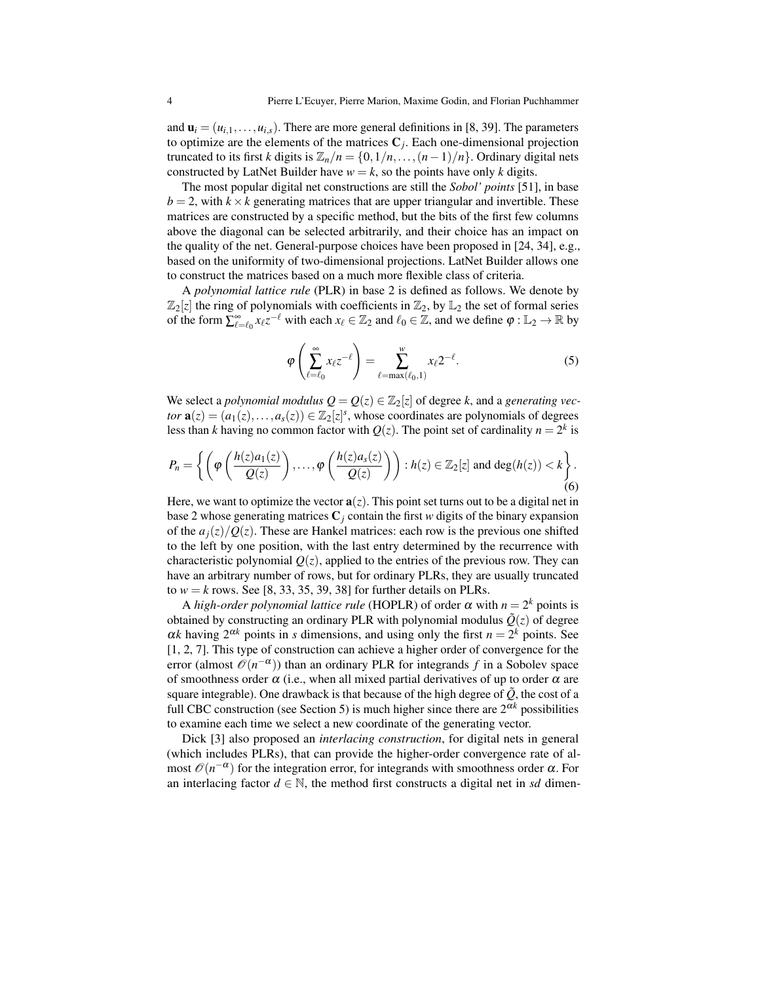and  $\mathbf{u}_i = (u_{i,1}, \dots, u_{i,s})$ . There are more general definitions in [\[8,](#page-14-0) [39\]](#page-15-0). The parameters to optimize are the elements of the matrices  $C_j$ . Each one-dimensional projection truncated to its first *k* digits is  $\mathbb{Z}_n/n = \{0, 1/n, \ldots, (n-1)/n\}$ . Ordinary digital nets constructed by LatNet Builder have  $w = k$ , so the points have only *k* digits.

The most popular digital net constructions are still the *Sobol' points* [\[51\]](#page-15-11), in base  $b = 2$ , with  $k \times k$  generating matrices that are upper triangular and invertible. These matrices are constructed by a specific method, but the bits of the first few columns above the diagonal can be selected arbitrarily, and their choice has an impact on the quality of the net. General-purpose choices have been proposed in [\[24,](#page-14-12) [34\]](#page-15-12), e.g., based on the uniformity of two-dimensional projections. LatNet Builder allows one to construct the matrices based on a much more flexible class of criteria.

A *polynomial lattice rule* (PLR) in base 2 is defined as follows. We denote by  $\mathbb{Z}_2[z]$  the ring of polynomials with coefficients in  $\mathbb{Z}_2$ , by  $\mathbb{L}_2$  the set of formal series of the form  $\sum_{\ell=\ell_0}^{\infty} x_{\ell} z^{-\ell}$  with each  $x_{\ell} \in \mathbb{Z}_2$  and  $\ell_0 \in \mathbb{Z}$ , and we define  $\varphi : \mathbb{L}_2 \to \mathbb{R}$  by

$$
\varphi\left(\sum_{\ell=\ell_0}^{\infty} x_{\ell} z^{-\ell}\right) = \sum_{\ell=\max(\ell_0,1)}^w x_{\ell} 2^{-\ell}.\tag{5}
$$

We select a *polynomial modulus*  $Q = Q(z) \in \mathbb{Z}_2[z]$  of degree *k*, and a *generating vector*  $\mathbf{a}(z) = (a_1(z),...,a_s(z)) \in \mathbb{Z}_2[z]^s$ , whose coordinates are polynomials of degrees less than *k* having no common factor with  $Q(z)$ . The point set of cardinality  $n = 2^k$  is

$$
P_n = \left\{ \left( \varphi \left( \frac{h(z)a_1(z)}{Q(z)} \right), \dots, \varphi \left( \frac{h(z)a_s(z)}{Q(z)} \right) \right) : h(z) \in \mathbb{Z}_2[z] \text{ and } \deg(h(z)) < k \right\}.
$$
\n
$$
(6)
$$

Here, we want to optimize the vector  $\mathbf{a}(z)$ . This point set turns out to be a digital net in base 2 whose generating matrices  $C_i$  contain the first *w* digits of the binary expansion of the  $a_j(z)/Q(z)$ . These are Hankel matrices: each row is the previous one shifted to the left by one position, with the last entry determined by the recurrence with characteristic polynomial  $Q(z)$ , applied to the entries of the previous row. They can have an arbitrary number of rows, but for ordinary PLRs, they are usually truncated to  $w = k$  rows. See [\[8,](#page-14-0) [33,](#page-15-13) [35,](#page-15-14) [39,](#page-15-0) [38\]](#page-15-15) for further details on PLRs.

A *high-order polynomial lattice rule* (HOPLR) of order  $\alpha$  with  $n = 2^k$  points is obtained by constructing an ordinary PLR with polynomial modulus  $\tilde{Q}(z)$  of degree  $\alpha k$  having  $2^{\alpha k}$  points in *s* dimensions, and using only the first  $n = 2^k$  points. See [\[1,](#page-13-2) [2,](#page-13-3) [7\]](#page-14-13). This type of construction can achieve a higher order of convergence for the error (almost  $\mathcal{O}(n^{-\alpha})$ ) than an ordinary PLR for integrands *f* in a Sobolev space of smoothness order  $\alpha$  (i.e., when all mixed partial derivatives of up to order  $\alpha$  are square integrable). One drawback is that because of the high degree of  $\tilde{Q}$ , the cost of a full CBC construction (see Section 5) is much higher since there are  $2^{\alpha k}$  possibilities to examine each time we select a new coordinate of the generating vector.

Dick [\[3\]](#page-13-4) also proposed an *interlacing construction*, for digital nets in general (which includes PLRs), that can provide the higher-order convergence rate of almost  $\mathcal{O}(n^{-\alpha})$  for the integration error, for integrands with smoothness order  $\alpha$ . For an interlacing factor  $d \in \mathbb{N}$ , the method first constructs a digital net in *sd* dimen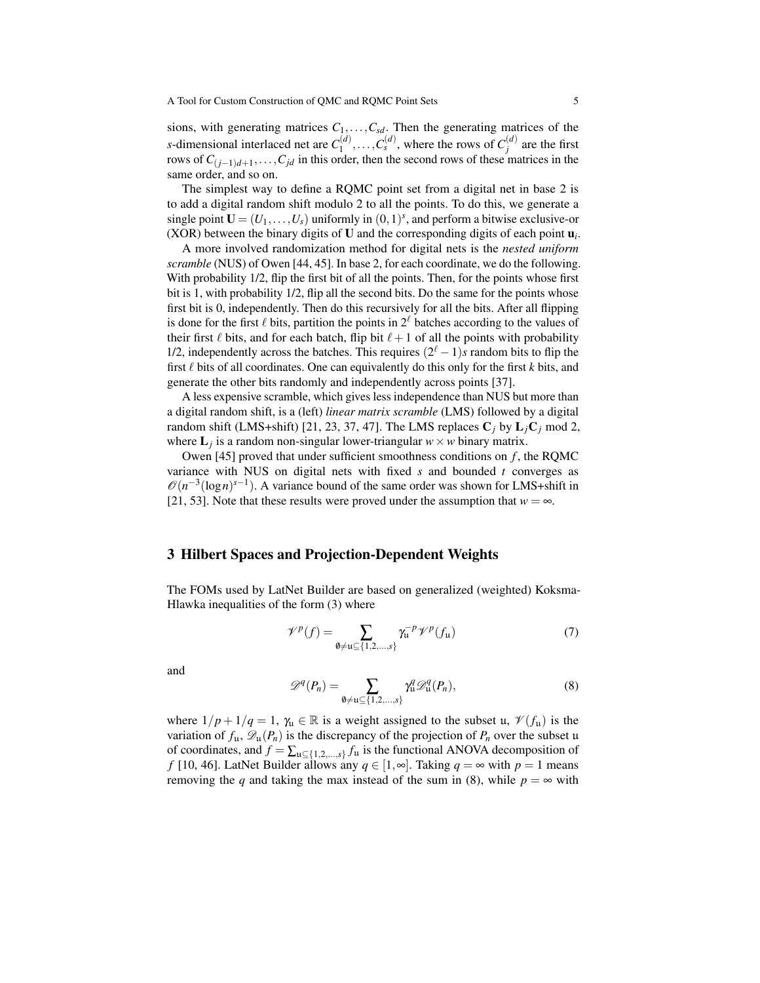sions, with generating matrices  $C_1, \ldots, C_{sd}$ . Then the generating matrices of the *s*-dimensional interlaced net are *C* (*d*)  $T_1^{(d)}, \ldots, C_s^{(d)}$ , where the rows of  $C_j^{(d)}$  $j^{(a)}$  are the first rows of  $C_{(j-1)d+1}, \ldots, C_{jd}$  in this order, then the second rows of these matrices in the same order, and so on.

The simplest way to define a RQMC point set from a digital net in base 2 is to add a digital random shift modulo 2 to all the points. To do this, we generate a single point  $\mathbf{U} = (U_1, \ldots, U_s)$  uniformly in  $(0, 1)^s$ , and perform a bitwise exclusive-or (XOR) between the binary digits of  $U$  and the corresponding digits of each point  $\mathbf{u}_i$ .

A more involved randomization method for digital nets is the *nested uniform scramble* (NUS) of Owen [\[44,](#page-15-3) [45\]](#page-15-4). In base 2, for each coordinate, we do the following. With probability 1/2, flip the first bit of all the points. Then, for the points whose first bit is 1, with probability 1/2, flip all the second bits. Do the same for the points whose first bit is 0, independently. Then do this recursively for all the bits. After all flipping is done for the first  $\ell$  bits, partition the points in  $2^{\ell}$  batches according to the values of their first  $\ell$  bits, and for each batch, flip bit  $\ell+1$  of all the points with probability 1/2, independently across the batches. This requires  $(2^{\ell} - 1)s$  random bits to flip the first  $\ell$  bits of all coordinates. One can equivalently do this only for the first  $k$  bits, and generate the other bits randomly and independently across points [\[37\]](#page-15-2).

A less expensive scramble, which gives less independence than NUS but more than a digital random shift, is a (left) *linear matrix scramble* (LMS) followed by a digital random shift (LMS+shift) [\[21,](#page-14-6) [23,](#page-14-14) [37,](#page-15-2) [47\]](#page-15-16). The LMS replaces  $C_j$  by  $L_jC_j$  mod 2, where  $\mathbf{L}_j$  is a random non-singular lower-triangular  $w \times w$  binary matrix.

Owen [\[45\]](#page-15-4) proved that under sufficient smoothness conditions on *f* , the RQMC variance with NUS on digital nets with fixed *s* and bounded *t* converges as  $\mathcal{O}(n^{-3}(\log n)^{s-1})$ . A variance bound of the same order was shown for LMS+shift in [\[21,](#page-14-6) [53\]](#page-15-17). Note that these results were proved under the assumption that  $w = \infty$ .

## <span id="page-4-0"></span>3 Hilbert Spaces and Projection-Dependent Weights

The FOMs used by LatNet Builder are based on generalized (weighted) Koksma-Hlawka inequalities of the form [\(3\)](#page-1-0) where

<span id="page-4-2"></span>
$$
\mathcal{V}^p(f) = \sum_{\emptyset \neq \mathfrak{u} \subseteq \{1, 2, \dots, s\}} \gamma_{\mathfrak{u}}^{-p} \mathcal{V}^p(f_{\mathfrak{u}}) \tag{7}
$$

and

<span id="page-4-1"></span>
$$
\mathscr{D}^q(P_n) = \sum_{\emptyset \neq \mathfrak{u} \subseteq \{1, 2, \dots, s\}} \gamma_\mathfrak{u}^q \mathscr{D}_\mathfrak{u}^q(P_n), \tag{8}
$$

where  $1/p + 1/q = 1$ ,  $\gamma_u \in \mathbb{R}$  is a weight assigned to the subset u,  $\mathcal{V}(f_u)$  is the variation of  $f_{\mu}$ ,  $\mathscr{D}_{\mu}(P_n)$  is the discrepancy of the projection of  $P_n$  over the subset u of coordinates, and  $f = \sum_{u \subseteq \{1,2,\dots,s\}} f_u$  is the functional ANOVA decomposition of *f* [\[10,](#page-14-15) [46\]](#page-15-5). LatNet Builder allows any *q* ∈ [1,∞]. Taking *q* = ∞ with *p* = 1 means removing the *q* and taking the max instead of the sum in [\(8\)](#page-4-1), while  $p = \infty$  with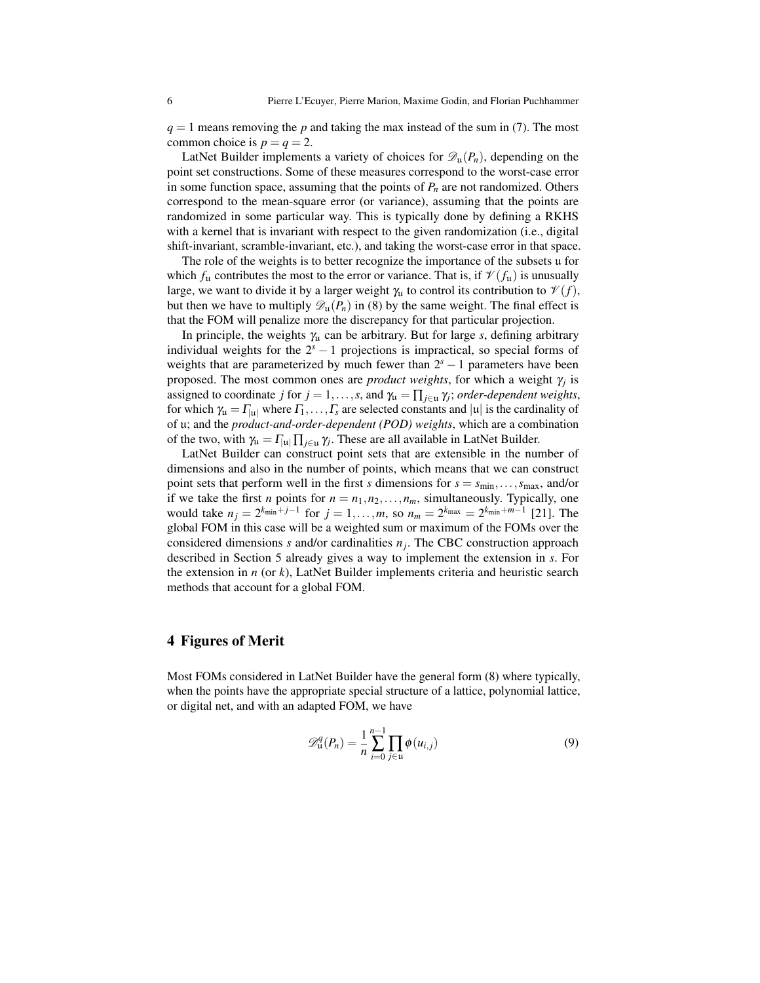*q* = 1 means removing the *p* and taking the max instead of the sum in [\(7\)](#page-4-2). The most common choice is  $p = q = 2$ .

LatNet Builder implements a variety of choices for  $\mathscr{D}_{\mathfrak{u}}(P_n)$ , depending on the point set constructions. Some of these measures correspond to the worst-case error in some function space, assuming that the points of  $P_n$  are not randomized. Others correspond to the mean-square error (or variance), assuming that the points are randomized in some particular way. This is typically done by defining a RKHS with a kernel that is invariant with respect to the given randomization (i.e., digital shift-invariant, scramble-invariant, etc.), and taking the worst-case error in that space.

The role of the weights is to better recognize the importance of the subsets u for which  $f_u$  contributes the most to the error or variance. That is, if  $\mathcal{V}(f_u)$  is unusually large, we want to divide it by a larger weight  $\gamma_u$  to control its contribution to  $\mathcal{V}(f)$ , but then we have to multiply  $\mathscr{D}_{\mu}(P_n)$  in [\(8\)](#page-4-1) by the same weight. The final effect is that the FOM will penalize more the discrepancy for that particular projection.

In principle, the weights  $\gamma_{\mu}$  can be arbitrary. But for large *s*, defining arbitrary individual weights for the  $2<sup>s</sup> - 1$  projections is impractical, so special forms of weights that are parameterized by much fewer than  $2<sup>s</sup> - 1$  parameters have been proposed. The most common ones are *product weights*, for which a weight  $\gamma_j$  is assigned to coordinate *j* for  $j = 1, ..., s$ , and  $\gamma_u = \prod_{j \in u} \gamma_j$ ; *order-dependent weights*, for which  $\gamma_u = \Gamma_{|u|}$  where  $\Gamma_1, \ldots, \Gamma_s$  are selected constants and  $|u|$  is the cardinality of of u; and the *product-and-order-dependent (POD) weights*, which are a combination of the two, with  $\gamma_{\mathfrak{u}} = \Gamma_{|\mathfrak{u}|} \prod_{j \in \mathfrak{u}} \gamma_j$ . These are all available in LatNet Builder.

LatNet Builder can construct point sets that are extensible in the number of dimensions and also in the number of points, which means that we can construct point sets that perform well in the first *s* dimensions for  $s = s_{\min}, \ldots, s_{\max}$ , and/or if we take the first *n* points for  $n = n_1, n_2, \ldots, n_m$ , simultaneously. Typically, one would take  $n_j = 2^{k_{\min}+j-1}$  for  $j = 1, ..., m$ , so  $n_m = 2^{k_{\max}} = 2^{k_{\min}+m-1}$  [\[21\]](#page-14-6). The global FOM in this case will be a weighted sum or maximum of the FOMs over the considered dimensions *s* and/or cardinalities *n<sup>j</sup>* . The CBC construction approach described in Section [5](#page-8-0) already gives a way to implement the extension in *s*. For the extension in *n* (or *k*), LatNet Builder implements criteria and heuristic search methods that account for a global FOM.

### <span id="page-5-0"></span>4 Figures of Merit

Most FOMs considered in LatNet Builder have the general form [\(8\)](#page-4-1) where typically, when the points have the appropriate special structure of a lattice, polynomial lattice, or digital net, and with an adapted FOM, we have

<span id="page-5-1"></span>
$$
\mathscr{D}_{\mathfrak{u}}^q(P_n) = \frac{1}{n} \sum_{i=0}^{n-1} \prod_{j \in \mathfrak{u}} \phi(u_{i,j})
$$
\n(9)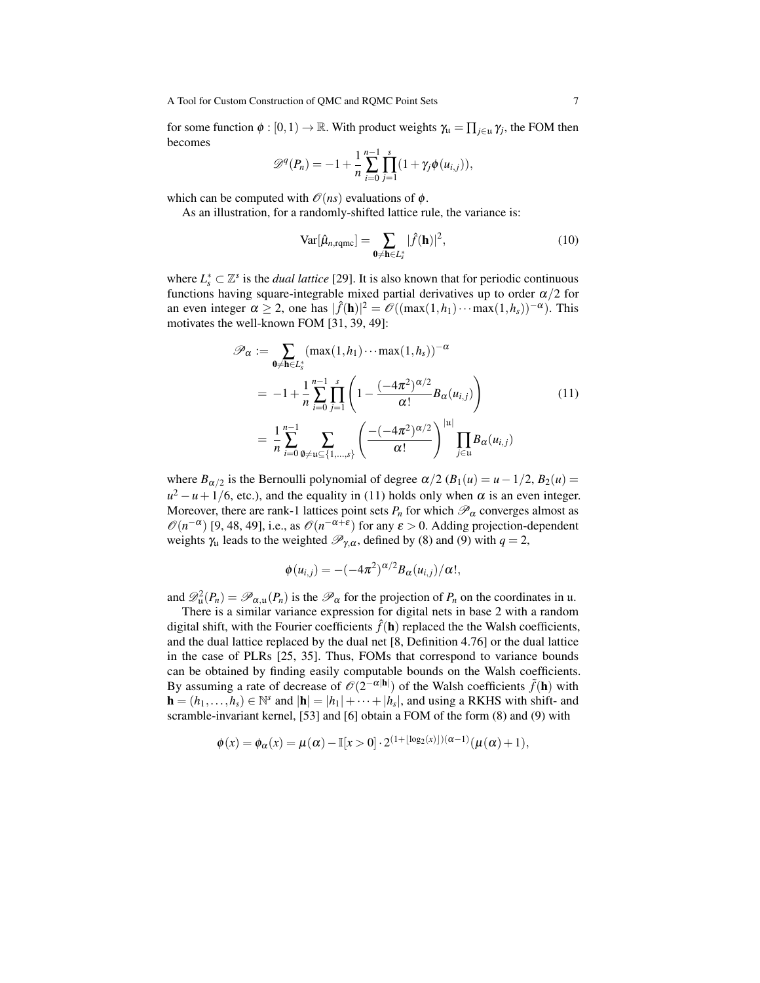for some function  $\phi : [0,1) \to \mathbb{R}$ . With product weights  $\gamma_u = \prod_{j \in u} \gamma_j$ , the FOM then becomes

$$
\mathscr{D}^q(P_n) = -1 + \frac{1}{n} \sum_{i=0}^{n-1} \prod_{j=1}^s (1 + \gamma_j \phi(u_{i,j})),
$$

which can be computed with  $\mathcal{O}(ns)$  evaluations of  $\phi$ .

As an illustration, for a randomly-shifted lattice rule, the variance is:

$$
\text{Var}[\hat{\mu}_{n,\text{rqmc}}] = \sum_{\mathbf{0} \neq \mathbf{h} \in L_s^*} |\hat{f}(\mathbf{h})|^2,
$$
\n(10)

where  $L_s^* \subset \mathbb{Z}^s$  is the *dual lattice* [\[29\]](#page-14-8). It is also known that for periodic continuous functions having square-integrable mixed partial derivatives up to order  $\alpha/2$  for an even integer  $\alpha \ge 2$ , one has  $|\hat{f}(\mathbf{h})|^2 = \mathcal{O}((\max(1, h_1) \cdots \max(1, h_s))^{-\alpha})$ . This motivates the well-known FOM [\[31,](#page-15-9) [39,](#page-15-0) [49\]](#page-15-10):

<span id="page-6-0"></span>
$$
\mathscr{P}_{\alpha} := \sum_{0 \neq h \in L_{s}^{*}} (\max(1, h_{1}) \cdots \max(1, h_{s}))^{-\alpha}
$$
  
\n
$$
= -1 + \frac{1}{n} \sum_{i=0}^{n-1} \prod_{j=1}^{s} \left( 1 - \frac{(-4\pi^{2})^{\alpha/2}}{\alpha!} B_{\alpha}(u_{i,j}) \right)
$$
  
\n
$$
= \frac{1}{n} \sum_{i=0}^{n-1} \sum_{\emptyset \neq u \subseteq \{1, ..., s\}} \left( \frac{-(-4\pi^{2})^{\alpha/2}}{\alpha!} \right)^{|u|} \prod_{j \in u} B_{\alpha}(u_{i,j})
$$
\n(11)

where  $B_{\alpha/2}$  is the Bernoulli polynomial of degree  $\alpha/2$  ( $B_1(u) = u - 1/2$ ,  $B_2(u) =$  $u^2 - u + 1/6$ , etc.), and the equality in [\(11\)](#page-6-0) holds only when  $\alpha$  is an even integer. Moreover, there are rank-1 lattices point sets  $P_n$  for which  $\mathcal{P}_\alpha$  converges almost as  $\mathcal{O}(n^{-\alpha})$  [\[9,](#page-14-16) [48,](#page-15-18) [49\]](#page-15-10), i.e., as  $\mathcal{O}(n^{-\alpha+\epsilon})$  for any  $\epsilon > 0$ . Adding projection-dependent weights  $\gamma_u$  leads to the weighted  $\mathcal{P}_{\gamma,\alpha}$ , defined by [\(8\)](#page-4-1) and [\(9\)](#page-5-1) with  $q=2$ ,

$$
\phi(u_{i,j}) = -(-4\pi^2)^{\alpha/2}B_{\alpha}(u_{i,j})/\alpha!,
$$

and  $\mathscr{D}_\mathfrak{u}^2(P_n) = \mathscr{P}_{\alpha,\mathfrak{u}}(P_n)$  is the  $\mathscr{P}_\alpha$  for the projection of  $P_n$  on the coordinates in u.

There is a similar variance expression for digital nets in base 2 with a random digital shift, with the Fourier coefficients  $\hat{f}(\mathbf{h})$  replaced the the Walsh coefficients, and the dual lattice replaced by the dual net [\[8,](#page-14-0) Definition 4.76] or the dual lattice in the case of PLRs [\[25,](#page-14-17) [35\]](#page-15-14). Thus, FOMs that correspond to variance bounds can be obtained by finding easily computable bounds on the Walsh coefficients. By assuming a rate of decrease of  $\mathcal{O}(2^{-\alpha |\mathbf{h}|})$  of the Walsh coefficients  $\tilde{f}(\mathbf{h})$  with  $\mathbf{h} = (h_1, \ldots, h_s) \in \mathbb{N}^s$  and  $|\mathbf{h}| = |h_1| + \cdots + |h_s|$ , and using a RKHS with shift- and scramble-invariant kernel, [\[53\]](#page-15-17) and [\[6\]](#page-14-18) obtain a FOM of the form [\(8\)](#page-4-1) and [\(9\)](#page-5-1) with

$$
\phi(x) = \phi_{\alpha}(x) = \mu(\alpha) - \mathbb{I}[x > 0] \cdot 2^{(1 + \lfloor \log_2(x) \rfloor)(\alpha - 1)} (\mu(\alpha) + 1),
$$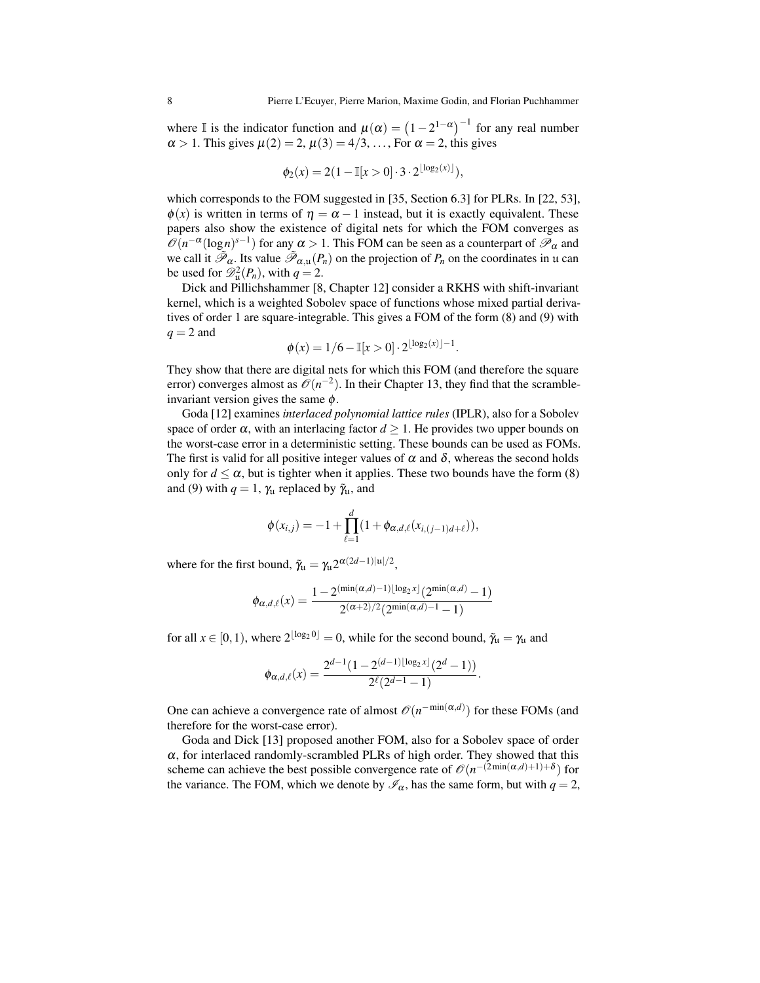where I is the indicator function and  $\mu(\alpha) = (1 - 2^{1 - \alpha})^{-1}$  for any real number  $\alpha > 1$ . This gives  $\mu(2) = 2$ ,  $\mu(3) = 4/3$ , ..., For  $\alpha = 2$ , this gives

$$
\phi_2(x) = 2(1 - \mathbb{I}[x > 0] \cdot 3 \cdot 2^{\lfloor \log_2(x) \rfloor}),
$$

which corresponds to the FOM suggested in [\[35,](#page-15-14) Section 6.3] for PLRs. In [\[22,](#page-14-19) [53\]](#page-15-17),  $\phi(x)$  is written in terms of  $\eta = \alpha - 1$  instead, but it is exactly equivalent. These papers also show the existence of digital nets for which the FOM converges as  $\mathcal{O}(n^{-\alpha}(\log n)^{s-1})$  for any  $\alpha > 1$ . This FOM can be seen as a counterpart of  $\mathcal{P}_{\alpha}$  and we call it  $\tilde{\mathcal{P}}_{\alpha}$ . Its value  $\tilde{\mathcal{P}}_{\alpha,u}(P_n)$  on the projection of  $P_n$  on the coordinates in u can be used for  $\mathscr{D}^2_{\mathfrak{u}}(P_n)$ , with  $q=2$ .

Dick and Pillichshammer [\[8,](#page-14-0) Chapter 12] consider a RKHS with shift-invariant kernel, which is a weighted Sobolev space of functions whose mixed partial derivatives of order 1 are square-integrable. This gives a FOM of the form [\(8\)](#page-4-1) and [\(9\)](#page-5-1) with  $q = 2$  and

$$
\phi(x) = 1/6 - \mathbb{I}[x > 0] \cdot 2^{\lfloor \log_2(x) \rfloor - 1}.
$$

They show that there are digital nets for which this FOM (and therefore the square error) converges almost as  $\mathcal{O}(n^{-2})$ . In their Chapter 13, they find that the scrambleinvariant version gives the same  $\phi$ .

Goda [\[12\]](#page-14-20) examines *interlaced polynomial lattice rules* (IPLR), also for a Sobolev space of order  $\alpha$ , with an interlacing factor  $d \geq 1$ . He provides two upper bounds on the worst-case error in a deterministic setting. These bounds can be used as FOMs. The first is valid for all positive integer values of  $\alpha$  and  $\delta$ , whereas the second holds only for  $d \le \alpha$ , but is tighter when it applies. These two bounds have the form [\(8\)](#page-4-1) and [\(9\)](#page-5-1) with  $q = 1$ ,  $\gamma_u$  replaced by  $\tilde{\gamma}_u$ , and

$$
\phi(x_{i,j}) = -1 + \prod_{\ell=1}^d (1 + \phi_{\alpha,d,\ell}(x_{i,(j-1)d+\ell})),
$$

where for the first bound,  $\tilde{\gamma}_{\mathfrak{u}} = \gamma_{\mathfrak{u}} 2^{\alpha(2d-1)|\mathfrak{u}|/2}$ ,

$$
\phi_{\alpha,d,\ell}(x) = \frac{1 - 2^{(\min(\alpha,d) - 1)\lfloor \log_2 x \rfloor} (2^{\min(\alpha,d)} - 1)}{2^{(\alpha+2)/2} (2^{\min(\alpha,d) - 1} - 1)}
$$

for all  $x \in [0, 1)$ , where  $2^{\lfloor \log_2 0 \rfloor} = 0$ , while for the second bound,  $\tilde{\gamma}_u = \gamma_u$  and

$$
\phi_{\alpha,d,\ell}(x) = \frac{2^{d-1}(1-2^{(d-1)\lfloor \log_2 x \rfloor}(2^d-1))}{2^{\ell}(2^{d-1}-1)}.
$$

One can achieve a convergence rate of almost  $\mathcal{O}(n^{-\min(\alpha,d)})$  for these FOMs (and therefore for the worst-case error).

Goda and Dick [\[13\]](#page-14-21) proposed another FOM, also for a Sobolev space of order  $\alpha$ , for interlaced randomly-scrambled PLRs of high order. They showed that this scheme can achieve the best possible convergence rate of  $\mathcal{O}(n^{-(2\min(\alpha,d)+1)+\delta})$  for the variance. The FOM, which we denote by  $\mathcal{I}_{\alpha}$ , has the same form, but with  $q = 2$ ,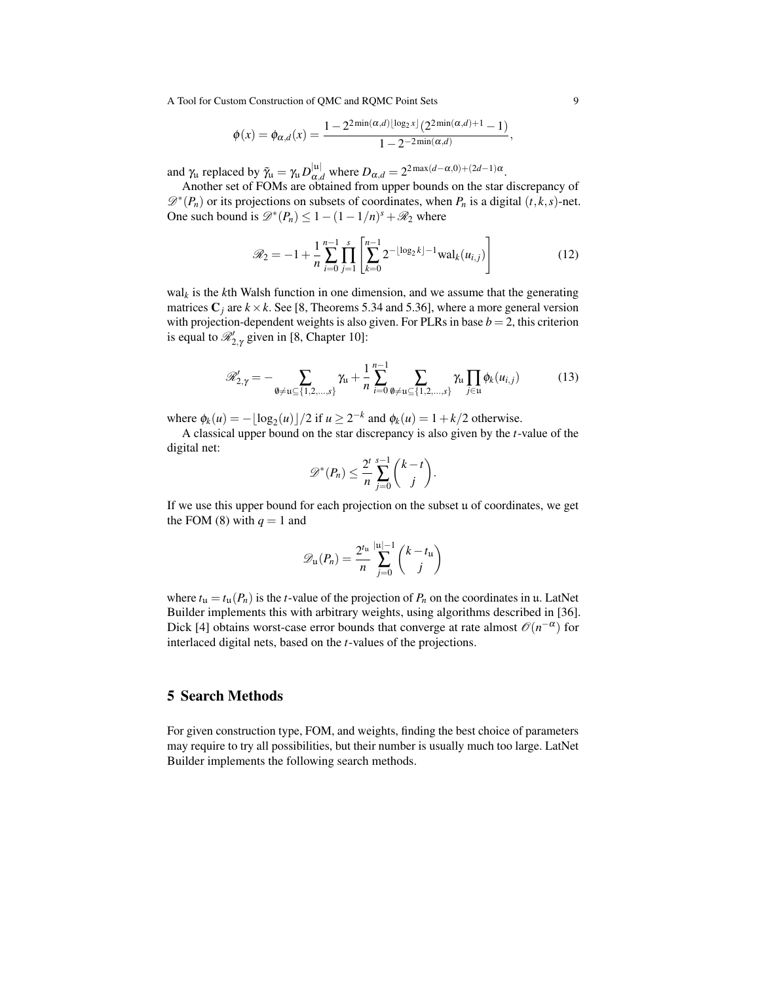$$
\phi(x) = \phi_{\alpha,d}(x) = \frac{1 - 2^{2\min(\alpha,d) \lfloor \log_2 x \rfloor} (2^{2\min(\alpha,d)+1} - 1)}{1 - 2^{-2\min(\alpha,d)}},
$$

and  $\gamma_u$  replaced by  $\tilde{\gamma}_u = \gamma_u D_{\alpha,d}^{|u|}$  where  $D_{\alpha,d} = 2^{2 \max(d-\alpha,0)+(2d-1)\alpha}$ .

Another set of FOMs are obtained from upper bounds on the star discrepancy of  $\mathscr{D}^*(P_n)$  or its projections on subsets of coordinates, when  $P_n$  is a digital  $(t, k, s)$ -net. One such bound is  $\mathcal{D}^*(P_n) \leq 1 - (1 - 1/n)^s + \mathcal{R}_2$  where

$$
\mathcal{R}_2 = -1 + \frac{1}{n} \sum_{i=0}^{n-1} \prod_{j=1}^{s} \left[ \sum_{k=0}^{n-1} 2^{-\lfloor \log_2 k \rfloor - 1} \text{wal}_k(u_{i,j}) \right]
$$
(12)

wal*<sup>k</sup>* is the *k*th Walsh function in one dimension, and we assume that the generating matrices  $C_i$  are  $k \times k$ . See [\[8,](#page-14-0) Theorems 5.34 and 5.36], where a more general version with projection-dependent weights is also given. For PLRs in base  $b = 2$ , this criterion is equal to  $\mathcal{R}_{2,\gamma}$  given in [\[8,](#page-14-0) Chapter 10]:

$$
\mathscr{R}'_{2,\gamma} = -\sum_{\emptyset \neq u \subseteq \{1,2,\dots,s\}} \gamma_u + \frac{1}{n} \sum_{i=0}^{n-1} \sum_{\emptyset \neq u \subseteq \{1,2,\dots,s\}} \gamma_u \prod_{j \in u} \phi_k(u_{i,j}) \tag{13}
$$

where  $\phi_k(u) = -\lfloor \log_2(u) \rfloor / 2$  if  $u \ge 2^{-k}$  and  $\phi_k(u) = 1 + k/2$  otherwise.

A classical upper bound on the star discrepancy is also given by the *t*-value of the digital net:

$$
\mathscr{D}^*(P_n) \leq \frac{2^t}{n} \sum_{j=0}^{s-1} {k-t \choose j}.
$$

If we use this upper bound for each projection on the subset u of coordinates, we get the FOM [\(8\)](#page-4-1) with  $q = 1$  and

$$
\mathscr{D}_{\mathfrak{u}}(P_n) = \frac{2^{t_{\mathfrak{u}}}}{n} \sum_{j=0}^{|\mathfrak{u}|-1} {k-t_{\mathfrak{u}} \choose j}
$$

where  $t_u = t_u(P_n)$  is the *t*-value of the projection of  $P_n$  on the coordinates in u. LatNet Builder implements this with arbitrary weights, using algorithms described in [\[36\]](#page-15-19). Dick [\[4\]](#page-13-0) obtains worst-case error bounds that converge at rate almost  $\mathcal{O}(n^{-\alpha})$  for interlaced digital nets, based on the *t*-values of the projections.

# <span id="page-8-0"></span>5 Search Methods

For given construction type, FOM, and weights, finding the best choice of parameters may require to try all possibilities, but their number is usually much too large. LatNet Builder implements the following search methods.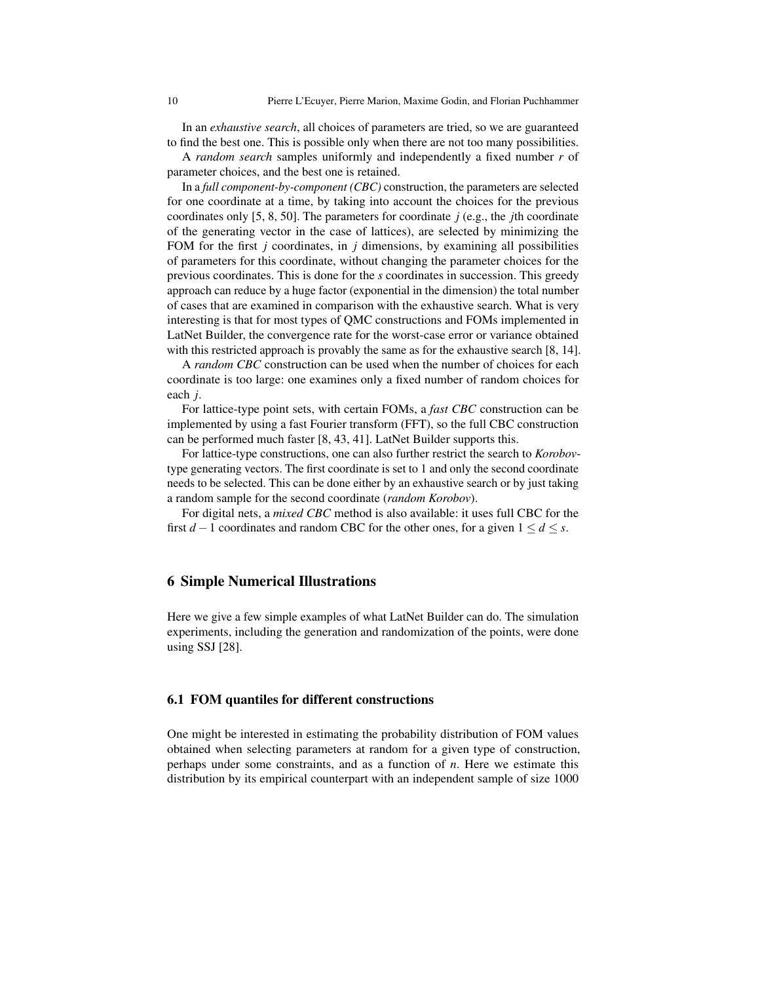In an *exhaustive search*, all choices of parameters are tried, so we are guaranteed to find the best one. This is possible only when there are not too many possibilities.

A *random search* samples uniformly and independently a fixed number *r* of parameter choices, and the best one is retained.

In a *full component-by-component (CBC)* construction, the parameters are selected for one coordinate at a time, by taking into account the choices for the previous coordinates only [\[5,](#page-14-22) [8,](#page-14-0) [50\]](#page-15-20). The parameters for coordinate  $j$  (e.g., the *j*th coordinate of the generating vector in the case of lattices), are selected by minimizing the FOM for the first *j* coordinates, in *j* dimensions, by examining all possibilities of parameters for this coordinate, without changing the parameter choices for the previous coordinates. This is done for the *s* coordinates in succession. This greedy approach can reduce by a huge factor (exponential in the dimension) the total number of cases that are examined in comparison with the exhaustive search. What is very interesting is that for most types of QMC constructions and FOMs implemented in LatNet Builder, the convergence rate for the worst-case error or variance obtained with this restricted approach is provably the same as for the exhaustive search [\[8,](#page-14-0) [14\]](#page-14-2).

A *random CBC* construction can be used when the number of choices for each coordinate is too large: one examines only a fixed number of random choices for each *j*.

For lattice-type point sets, with certain FOMs, a *fast CBC* construction can be implemented by using a fast Fourier transform (FFT), so the full CBC construction can be performed much faster [\[8,](#page-14-0) [43,](#page-15-21) [41\]](#page-15-22). LatNet Builder supports this.

For lattice-type constructions, one can also further restrict the search to *Korobov*type generating vectors. The first coordinate is set to 1 and only the second coordinate needs to be selected. This can be done either by an exhaustive search or by just taking a random sample for the second coordinate (*random Korobov*).

For digital nets, a *mixed CBC* method is also available: it uses full CBC for the first *d* − 1 coordinates and random CBC for the other ones, for a given  $1 \le d \le s$ .

## <span id="page-9-0"></span>6 Simple Numerical Illustrations

Here we give a few simple examples of what LatNet Builder can do. The simulation experiments, including the generation and randomization of the points, were done using SSJ [\[28\]](#page-14-23).

#### 6.1 FOM quantiles for different constructions

One might be interested in estimating the probability distribution of FOM values obtained when selecting parameters at random for a given type of construction, perhaps under some constraints, and as a function of *n*. Here we estimate this distribution by its empirical counterpart with an independent sample of size 1000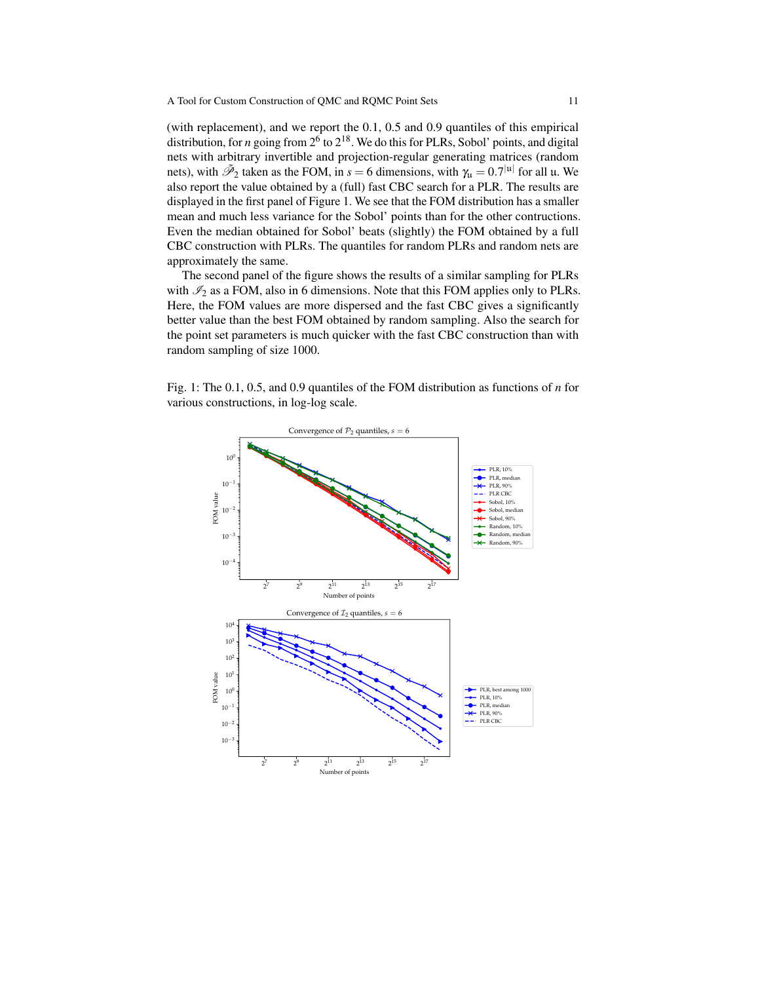(with replacement), and we report the 0.1, 0.5 and 0.9 quantiles of this empirical distribution, for *n* going from 2<sup>6</sup> to 2<sup>18</sup>. We do this for PLRs, Sobol' points, and digital nets with arbitrary invertible and projection-regular generating matrices (random nets), with  $\tilde{\mathcal{P}}_2$  taken as the FOM, in  $s = 6$  dimensions, with  $\gamma_u = 0.7^{|u|}$  for all u. We also report the value obtained by a (full) fast CBC search for a PLR. The results are displayed in the first panel of Figure [1.](#page-10-0) We see that the FOM distribution has a smaller mean and much less variance for the Sobol' points than for the other contructions. Even the median obtained for Sobol' beats (slightly) the FOM obtained by a full CBC construction with PLRs. The quantiles for random PLRs and random nets are approximately the same.

The second panel of the figure shows the results of a similar sampling for PLRs with  $\mathcal{I}_2$  as a FOM, also in 6 dimensions. Note that this FOM applies only to PLRs. Here, the FOM values are more dispersed and the fast CBC gives a significantly better value than the best FOM obtained by random sampling. Also the search for the point set parameters is much quicker with the fast CBC construction than with random sampling of size 1000.

<span id="page-10-0"></span>Fig. 1: The 0.1, 0.5, and 0.9 quantiles of the FOM distribution as functions of *n* for various constructions, in log-log scale.

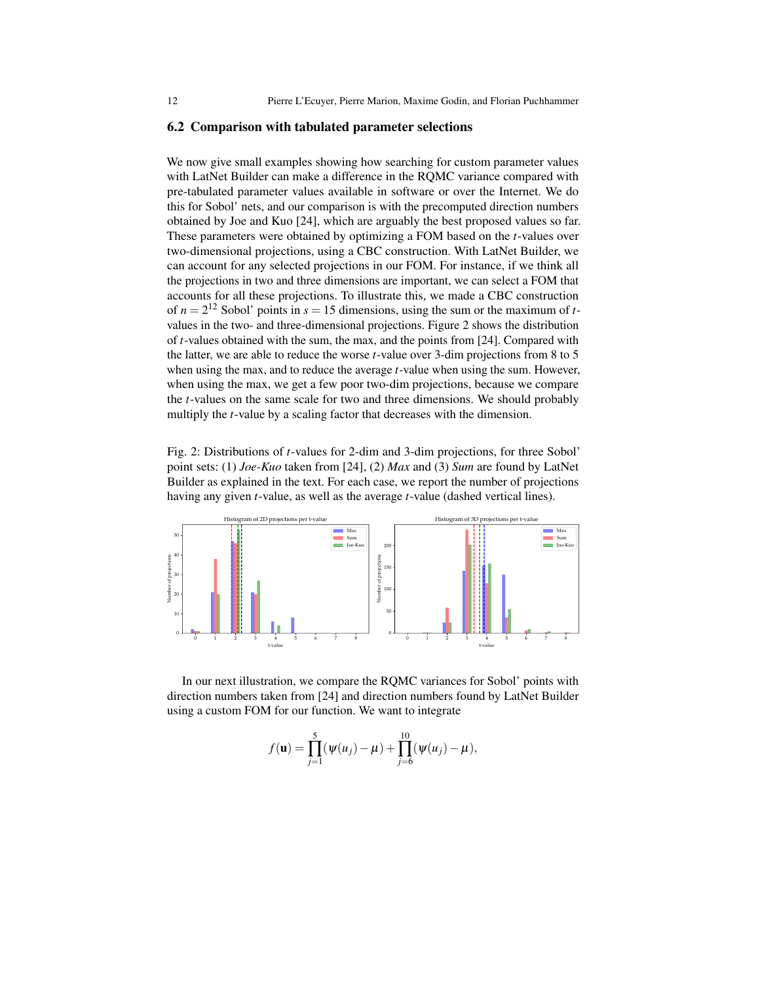#### 6.2 Comparison with tabulated parameter selections

We now give small examples showing how searching for custom parameter values with LatNet Builder can make a difference in the RQMC variance compared with pre-tabulated parameter values available in software or over the Internet. We do this for Sobol' nets, and our comparison is with the precomputed direction numbers obtained by Joe and Kuo [\[24\]](#page-14-12), which are arguably the best proposed values so far. These parameters were obtained by optimizing a FOM based on the *t*-values over two-dimensional projections, using a CBC construction. With LatNet Builder, we can account for any selected projections in our FOM. For instance, if we think all the projections in two and three dimensions are important, we can select a FOM that accounts for all these projections. To illustrate this, we made a CBC construction of  $n = 2^{12}$  Sobol' points in  $s = 15$  dimensions, using the sum or the maximum of *t*values in the two- and three-dimensional projections. Figure [2](#page-11-0) shows the distribution of *t*-values obtained with the sum, the max, and the points from [\[24\]](#page-14-12). Compared with the latter, we are able to reduce the worse *t*-value over 3-dim projections from 8 to 5 when using the max, and to reduce the average *t*-value when using the sum. However, when using the max, we get a few poor two-dim projections, because we compare the *t*-values on the same scale for two and three dimensions. We should probably multiply the *t*-value by a scaling factor that decreases with the dimension.

<span id="page-11-0"></span>Fig. 2: Distributions of *t*-values for 2-dim and 3-dim projections, for three Sobol' point sets: (1) *Joe-Kuo* taken from [\[24\]](#page-14-12), (2) *Max* and (3) *Sum* are found by LatNet Builder as explained in the text. For each case, we report the number of projections having any given *t*-value, as well as the average *t*-value (dashed vertical lines).



In our next illustration, we compare the RQMC variances for Sobol' points with direction numbers taken from [\[24\]](#page-14-12) and direction numbers found by LatNet Builder using a custom FOM for our function. We want to integrate

$$
f(\mathbf{u}) = \prod_{j=1}^{5} (\psi(u_j) - \mu) + \prod_{j=6}^{10} (\psi(u_j) - \mu),
$$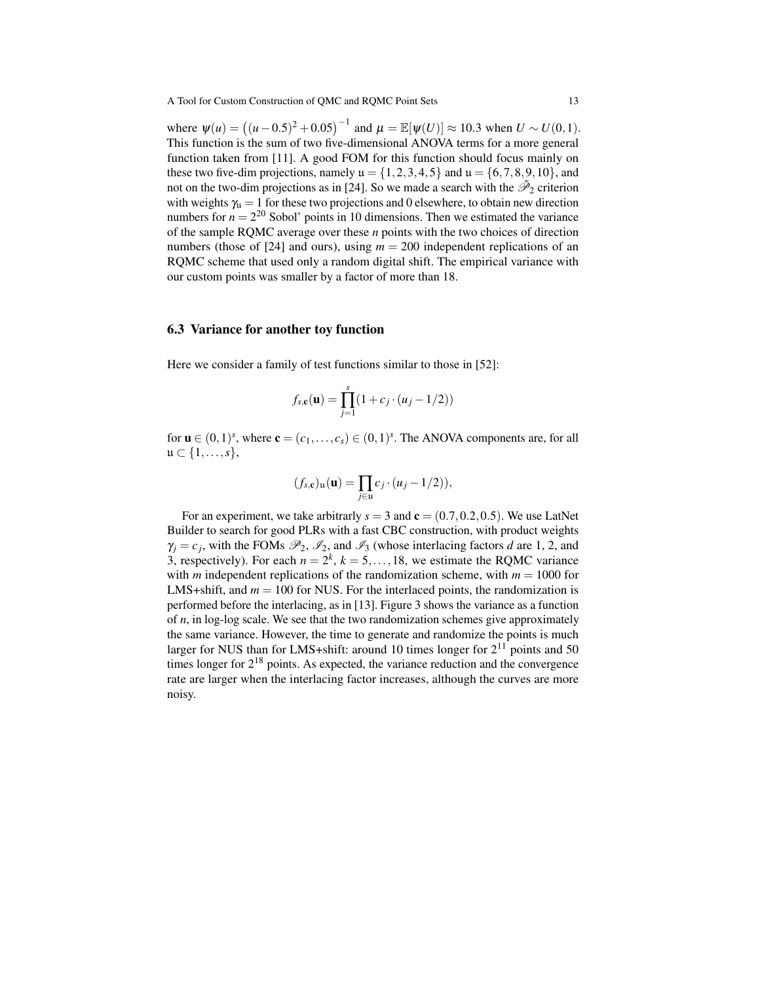where  $\psi(u) = ((u - 0.5)^2 + 0.05)^{-1}$  and  $\mu = \mathbb{E}[\psi(U)] \approx 10.3$  when  $U \sim U(0, 1)$ . This function is the sum of two five-dimensional ANOVA terms for a more general function taken from [\[11\]](#page-14-24). A good FOM for this function should focus mainly on these two five-dim projections, namely  $\mathfrak{u} = \{1, 2, 3, 4, 5\}$  and  $\mathfrak{u} = \{6, 7, 8, 9, 10\}$ , and not on the two-dim projections as in [\[24\]](#page-14-12). So we made a search with the  $\tilde{\mathcal{P}}_2$  criterion with weights  $\gamma_u = 1$  for these two projections and 0 elsewhere, to obtain new direction numbers for  $n = 2^{20}$  Sobol' points in 10 dimensions. Then we estimated the variance of the sample RQMC average over these *n* points with the two choices of direction numbers (those of [\[24\]](#page-14-12) and ours), using  $m = 200$  independent replications of an RQMC scheme that used only a random digital shift. The empirical variance with our custom points was smaller by a factor of more than 18.

#### 6.3 Variance for another toy function

Here we consider a family of test functions similar to those in [\[52\]](#page-15-23):

$$
f_{s,\mathbf{c}}(\mathbf{u}) = \prod_{j=1}^{s} (1 + c_j \cdot (u_j - 1/2))
$$

for  $\mathbf{u} \in (0,1)^s$ , where  $\mathbf{c} = (c_1,\ldots,c_s) \in (0,1)^s$ . The ANOVA components are, for all  $\mathfrak{u} \subset \{1,\ldots,s\},\,$ 

$$
(f_{s,\mathbf{c}})_{\mathbf{u}}(\mathbf{u}) = \prod_{j \in \mathbf{u}} c_j \cdot (u_j - 1/2)),
$$

For an experiment, we take arbitrarly  $s = 3$  and  $\mathbf{c} = (0.7, 0.2, 0.5)$ . We use LatNet Builder to search for good PLRs with a fast CBC construction, with product weights  $\gamma_j = c_j$ , with the FOMs  $\mathcal{P}_2$ ,  $\mathcal{I}_2$ , and  $\mathcal{I}_3$  (whose interlacing factors *d* are 1, 2, and 3, respectively). For each  $n = 2^k$ ,  $k = 5, \ldots, 18$ , we estimate the RQMC variance with *m* independent replications of the randomization scheme, with  $m = 1000$  for LMS+shift, and  $m = 100$  for NUS. For the interlaced points, the randomization is performed before the interlacing, as in [\[13\]](#page-14-21). Figure [3](#page-13-5) shows the variance as a function of *n*, in log-log scale. We see that the two randomization schemes give approximately the same variance. However, the time to generate and randomize the points is much larger for NUS than for LMS+shift: around 10 times longer for  $2^{11}$  points and 50 times longer for  $2^{18}$  points. As expected, the variance reduction and the convergence rate are larger when the interlacing factor increases, although the curves are more noisy.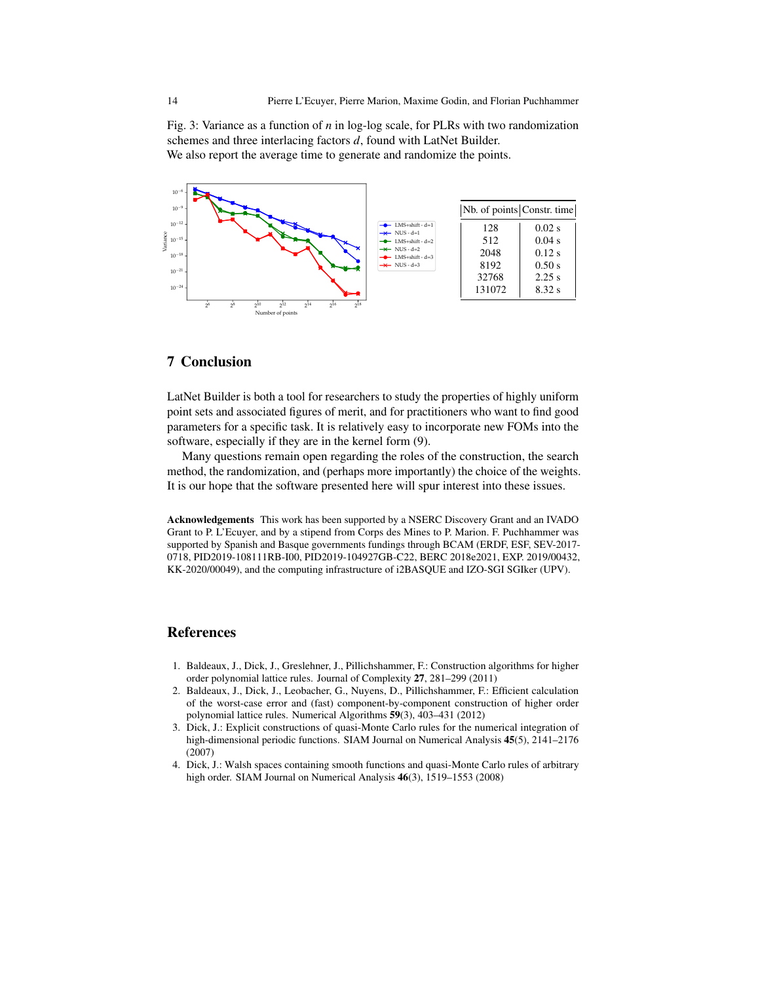<span id="page-13-5"></span>Fig. 3: Variance as a function of *n* in log-log scale, for PLRs with two randomization schemes and three interlacing factors *d*, found with LatNet Builder. We also report the average time to generate and randomize the points.



# <span id="page-13-1"></span>7 Conclusion

LatNet Builder is both a tool for researchers to study the properties of highly uniform point sets and associated figures of merit, and for practitioners who want to find good parameters for a specific task. It is relatively easy to incorporate new FOMs into the software, especially if they are in the kernel form [\(9\)](#page-5-1).

Many questions remain open regarding the roles of the construction, the search method, the randomization, and (perhaps more importantly) the choice of the weights. It is our hope that the software presented here will spur interest into these issues.

Acknowledgements This work has been supported by a NSERC Discovery Grant and an IVADO Grant to P. L'Ecuyer, and by a stipend from Corps des Mines to P. Marion. F. Puchhammer was supported by Spanish and Basque governments fundings through BCAM (ERDF, ESF, SEV-2017- 0718, PID2019-108111RB-I00, PID2019-104927GB-C22, BERC 2018e2021, EXP. 2019/00432, KK-2020/00049), and the computing infrastructure of i2BASQUE and IZO-SGI SGIker (UPV).

## References

- <span id="page-13-2"></span>1. Baldeaux, J., Dick, J., Greslehner, J., Pillichshammer, F.: Construction algorithms for higher order polynomial lattice rules. Journal of Complexity 27, 281–299 (2011)
- <span id="page-13-3"></span>2. Baldeaux, J., Dick, J., Leobacher, G., Nuyens, D., Pillichshammer, F.: Efficient calculation of the worst-case error and (fast) component-by-component construction of higher order polynomial lattice rules. Numerical Algorithms 59(3), 403–431 (2012)
- <span id="page-13-4"></span>3. Dick, J.: Explicit constructions of quasi-Monte Carlo rules for the numerical integration of high-dimensional periodic functions. SIAM Journal on Numerical Analysis 45(5), 2141–2176 (2007)
- <span id="page-13-0"></span>4. Dick, J.: Walsh spaces containing smooth functions and quasi-Monte Carlo rules of arbitrary high order. SIAM Journal on Numerical Analysis 46(3), 1519–1553 (2008)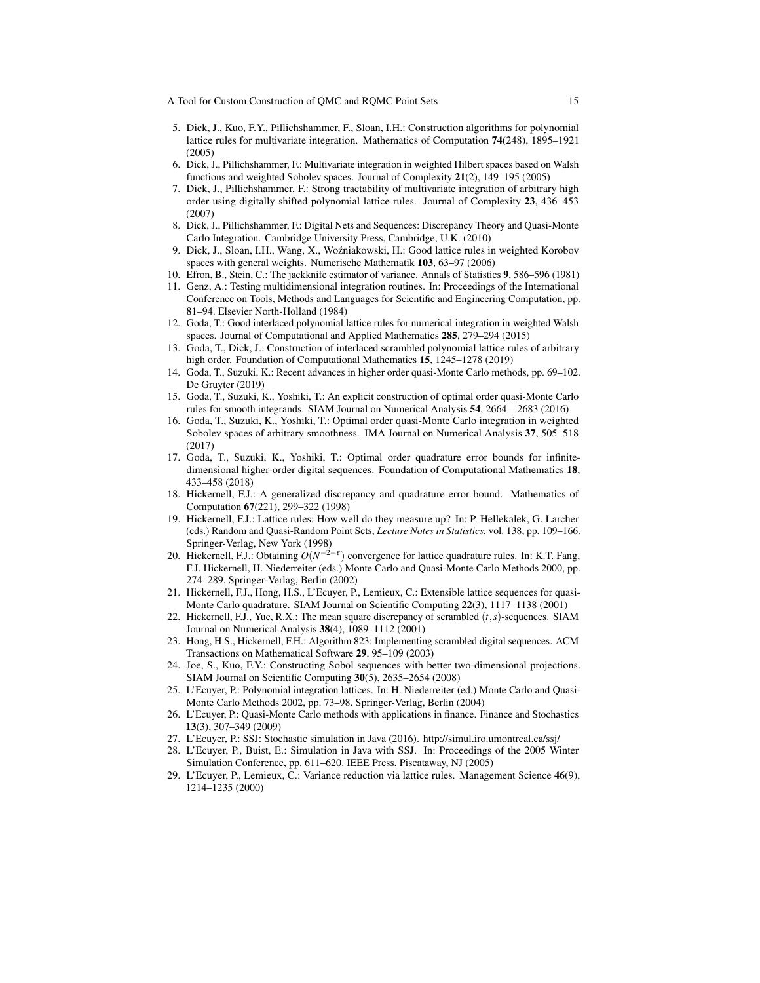- <span id="page-14-22"></span>5. Dick, J., Kuo, F.Y., Pillichshammer, F., Sloan, I.H.: Construction algorithms for polynomial lattice rules for multivariate integration. Mathematics of Computation 74(248), 1895–1921 (2005)
- <span id="page-14-18"></span>6. Dick, J., Pillichshammer, F.: Multivariate integration in weighted Hilbert spaces based on Walsh functions and weighted Sobolev spaces. Journal of Complexity 21(2), 149–195 (2005)
- <span id="page-14-13"></span>7. Dick, J., Pillichshammer, F.: Strong tractability of multivariate integration of arbitrary high order using digitally shifted polynomial lattice rules. Journal of Complexity 23, 436–453 (2007)
- <span id="page-14-0"></span>8. Dick, J., Pillichshammer, F.: Digital Nets and Sequences: Discrepancy Theory and Quasi-Monte Carlo Integration. Cambridge University Press, Cambridge, U.K. (2010)
- <span id="page-14-16"></span>9. Dick, J., Sloan, I.H., Wang, X., Wozniakowski, H.: Good lattice rules in weighted Korobov ´ spaces with general weights. Numerische Mathematik 103, 63–97 (2006)
- <span id="page-14-15"></span>10. Efron, B., Stein, C.: The jackknife estimator of variance. Annals of Statistics 9, 586–596 (1981)
- <span id="page-14-24"></span>11. Genz, A.: Testing multidimensional integration routines. In: Proceedings of the International Conference on Tools, Methods and Languages for Scientific and Engineering Computation, pp. 81–94. Elsevier North-Holland (1984)
- <span id="page-14-20"></span>12. Goda, T.: Good interlaced polynomial lattice rules for numerical integration in weighted Walsh spaces. Journal of Computational and Applied Mathematics 285, 279–294 (2015)
- <span id="page-14-21"></span>13. Goda, T., Dick, J.: Construction of interlaced scrambled polynomial lattice rules of arbitrary high order. Foundation of Computational Mathematics 15, 1245–1278 (2019)
- <span id="page-14-2"></span>14. Goda, T., Suzuki, K.: Recent advances in higher order quasi-Monte Carlo methods, pp. 69–102. De Gruyter (2019)
- <span id="page-14-3"></span>15. Goda, T., Suzuki, K., Yoshiki, T.: An explicit construction of optimal order quasi-Monte Carlo rules for smooth integrands. SIAM Journal on Numerical Analysis 54, 2664––2683 (2016)
- <span id="page-14-4"></span>16. Goda, T., Suzuki, K., Yoshiki, T.: Optimal order quasi-Monte Carlo integration in weighted Sobolev spaces of arbitrary smoothness. IMA Journal on Numerical Analysis 37, 505–518 (2017)
- <span id="page-14-5"></span>17. Goda, T., Suzuki, K., Yoshiki, T.: Optimal order quadrature error bounds for infinitedimensional higher-order digital sequences. Foundation of Computational Mathematics 18, 433–458 (2018)
- <span id="page-14-1"></span>18. Hickernell, F.J.: A generalized discrepancy and quadrature error bound. Mathematics of Computation 67(221), 299–322 (1998)
- <span id="page-14-10"></span>19. Hickernell, F.J.: Lattice rules: How well do they measure up? In: P. Hellekalek, G. Larcher (eds.) Random and Quasi-Random Point Sets, *Lecture Notes in Statistics*, vol. 138, pp. 109–166. Springer-Verlag, New York (1998)
- <span id="page-14-11"></span>20. Hickernell, F.J.: Obtaining *O*(*N* −2+ε ) convergence for lattice quadrature rules. In: K.T. Fang, F.J. Hickernell, H. Niederreiter (eds.) Monte Carlo and Quasi-Monte Carlo Methods 2000, pp. 274–289. Springer-Verlag, Berlin (2002)
- <span id="page-14-6"></span>21. Hickernell, F.J., Hong, H.S., L'Ecuyer, P., Lemieux, C.: Extensible lattice sequences for quasi-Monte Carlo quadrature. SIAM Journal on Scientific Computing 22(3), 1117–1138 (2001)
- <span id="page-14-19"></span>22. Hickernell, F.J., Yue, R.X.: The mean square discrepancy of scrambled (*t*,*s*)-sequences. SIAM Journal on Numerical Analysis 38(4), 1089–1112 (2001)
- <span id="page-14-14"></span>23. Hong, H.S., Hickernell, F.H.: Algorithm 823: Implementing scrambled digital sequences. ACM Transactions on Mathematical Software 29, 95–109 (2003)
- <span id="page-14-12"></span>24. Joe, S., Kuo, F.Y.: Constructing Sobol sequences with better two-dimensional projections. SIAM Journal on Scientific Computing 30(5), 2635–2654 (2008)
- <span id="page-14-17"></span>25. L'Ecuyer, P.: Polynomial integration lattices. In: H. Niederreiter (ed.) Monte Carlo and Quasi-Monte Carlo Methods 2002, pp. 73–98. Springer-Verlag, Berlin (2004)
- <span id="page-14-7"></span>26. L'Ecuyer, P.: Quasi-Monte Carlo methods with applications in finance. Finance and Stochastics 13(3), 307–349 (2009)
- <span id="page-14-9"></span>27. L'Ecuyer, P.: SSJ: Stochastic simulation in Java (2016). <http://simul.iro.umontreal.ca/ssj/>
- <span id="page-14-23"></span>28. L'Ecuyer, P., Buist, E.: Simulation in Java with SSJ. In: Proceedings of the 2005 Winter Simulation Conference, pp. 611–620. IEEE Press, Piscataway, NJ (2005)
- <span id="page-14-8"></span>29. L'Ecuyer, P., Lemieux, C.: Variance reduction via lattice rules. Management Science 46(9), 1214–1235 (2000)